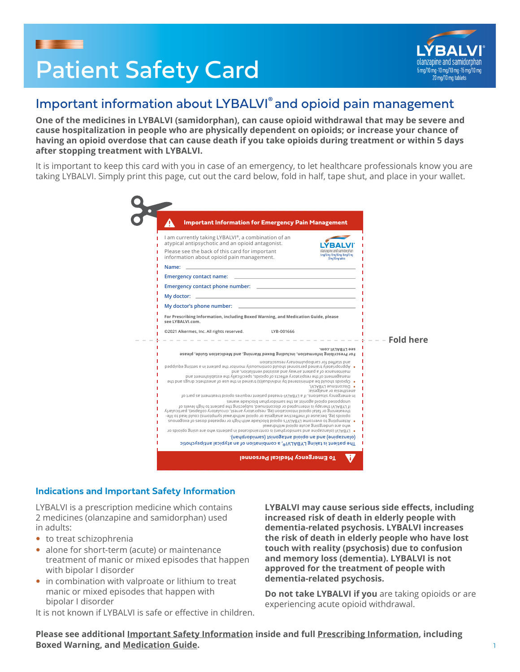

# Patient Safety Card



# Important information about LYBALVI® and opioid pain management

**One of the medicines in LYBALVI (samidorphan), can cause opioid withdrawal that may be severe and cause hospitalization in people who are physically dependent on opioids; or increase your chance of having an opioid overdose that can cause death if you take opioids during treatment or within 5 days after stopping treatment with LYBALVI.**

It is important to keep this card with you in case of an emergency, to let healthcare professionals know you are taking LYBALVI. Simply print this page, cut out the card below, fold in half, tape shut, and place in your wallet.

|                  | <b>Important Information for Emergency Pain Management</b>                                                                                                                                                                                                                                                                                                                                                                                                                                                                                                                                                                                                                                                                                                                                                                                                                                                                                                                                                                                                                                            |
|------------------|-------------------------------------------------------------------------------------------------------------------------------------------------------------------------------------------------------------------------------------------------------------------------------------------------------------------------------------------------------------------------------------------------------------------------------------------------------------------------------------------------------------------------------------------------------------------------------------------------------------------------------------------------------------------------------------------------------------------------------------------------------------------------------------------------------------------------------------------------------------------------------------------------------------------------------------------------------------------------------------------------------------------------------------------------------------------------------------------------------|
|                  | I am currently taking LYBALVI®, a combination of an<br>atypical antipsychotic and an opioid antagonist.<br>Please see the back of this card for important<br>olanzaoine and samidorphan<br>5mg/10mg-10mg/10mg-15mg/10mg<br>information about opioid pain management.<br>20 mo/10 mg tablets                                                                                                                                                                                                                                                                                                                                                                                                                                                                                                                                                                                                                                                                                                                                                                                                           |
|                  |                                                                                                                                                                                                                                                                                                                                                                                                                                                                                                                                                                                                                                                                                                                                                                                                                                                                                                                                                                                                                                                                                                       |
|                  |                                                                                                                                                                                                                                                                                                                                                                                                                                                                                                                                                                                                                                                                                                                                                                                                                                                                                                                                                                                                                                                                                                       |
|                  |                                                                                                                                                                                                                                                                                                                                                                                                                                                                                                                                                                                                                                                                                                                                                                                                                                                                                                                                                                                                                                                                                                       |
|                  | <u> 1980 - Johann Barbara, martxa alemaniar argumento este alemaniar alemaniar alemaniar alemaniar alemaniar al</u><br>My doctor:                                                                                                                                                                                                                                                                                                                                                                                                                                                                                                                                                                                                                                                                                                                                                                                                                                                                                                                                                                     |
|                  | My doctor's phone number:                                                                                                                                                                                                                                                                                                                                                                                                                                                                                                                                                                                                                                                                                                                                                                                                                                                                                                                                                                                                                                                                             |
|                  | For Prescribing Information, including Boxed Warning, and Medication Guide, please<br>see LYBALVI.com.                                                                                                                                                                                                                                                                                                                                                                                                                                                                                                                                                                                                                                                                                                                                                                                                                                                                                                                                                                                                |
|                  | @2021 Alkermes, Inc. All rights reserved.<br>LYB-001666                                                                                                                                                                                                                                                                                                                                                                                                                                                                                                                                                                                                                                                                                                                                                                                                                                                                                                                                                                                                                                               |
| <b>Fold here</b> |                                                                                                                                                                                                                                                                                                                                                                                                                                                                                                                                                                                                                                                                                                                                                                                                                                                                                                                                                                                                                                                                                                       |
|                  | see LYBALVI.com.<br>For Prescribing Information, including Boxed Warning, and Medication Guide, please                                                                                                                                                                                                                                                                                                                                                                                                                                                                                                                                                                                                                                                                                                                                                                                                                                                                                                                                                                                                |
|                  | and started for cardiopulmonary resuscitation<br>. Appropriately trained personnel should continuously monitor the patient in a setting equipped<br>maintenance of a patent aimig and assisted ventilation, and<br>management of the respiratory ethects of opioids, specifically the establishment and<br>• Opioids agust the squrib spirit and the planning of the paral in the rate of anesthetic drugs and the<br>· DISCONTINUE LYBALVI,<br>anesthesia or analgesia:<br>10 the reserver situations, if a LYBAUI-treated patent requires opioid bindent as as part of<br>unopposed opioid using a gauge surface professor and sense waves<br>In LYBALVI therapy is interrupted or discontinued, subjecting the patient to high levels of<br>threatening or fatal opioid intoxication (eg, respiratory arrest, circulatory collapse), particularly<br>opioids (eg, because of ineffective analgesia or opioid withdrawal symptoms) could lead to life-<br>. Attempting to overcome LYBALVI's opioid blockade with high or repeated doses of exogenous<br>who are undergoing acute opioid withdrawal |
|                  |                                                                                                                                                                                                                                                                                                                                                                                                                                                                                                                                                                                                                                                                                                                                                                                                                                                                                                                                                                                                                                                                                                       |
|                  | • LYBALVI (olanzapine and samidorphan) is contraindicated in patients who are using soipoids or<br>(dedrobimes) teinogeths bioldo na bha (sandashal).                                                                                                                                                                                                                                                                                                                                                                                                                                                                                                                                                                                                                                                                                                                                                                                                                                                                                                                                                 |

#### **Indications and Important Safety Information**

LYBALVI is a prescription medicine which contains 2 medicines (olanzapine and samidorphan) used in adults:

- $\bullet$  to treat schizophrenia
- alone for short-term (acute) or maintenance treatment of manic or mixed episodes that happen with bipolar I disorder
- in combination with valproate or lithium to treat manic or mixed episodes that happen with bipolar I disorder

It is not known if LYBALVI is safe or effective in children.

**LYBALVI may cause serious side effects, including increased risk of death in elderly people with dementia-related psychosis. LYBALVI increases the risk of death in elderly people who have lost touch with reality (psychosis) due to confusion and memory loss (dementia). LYBALVI is not approved for the treatment of people with dementia-related psychosis.**

**Do not take LYBALVI if you** are taking opioids or are experiencing acute opioid withdrawal.

**Please see additional Important Safety Information inside and full Prescribing Information, including Boxed Warning, and Medication Guide.**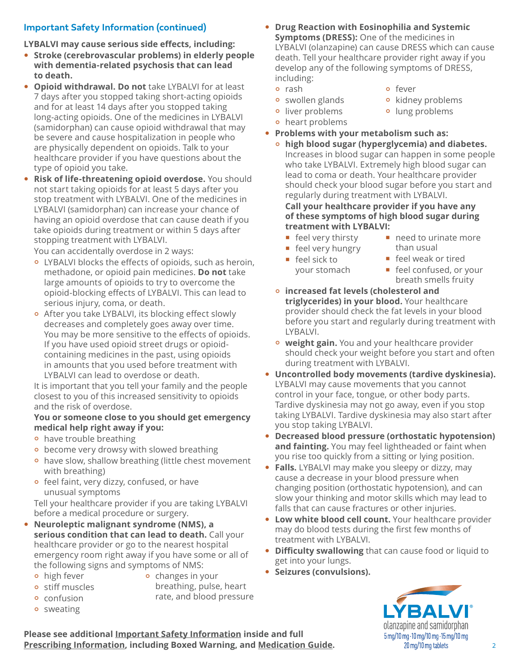# **Important Safety Information (continued)**

**LYBALVI may cause serious side effects, including:**

- **Stroke (cerebrovascular problems) in elderly people with dementia-related psychosis that can lead to death.**
- **Opioid withdrawal. Do not** take LYBALVI for at least 7 days after you stopped taking short-acting opioids and for at least 14 days after you stopped taking long-acting opioids. One of the medicines in LYBALVI (samidorphan) can cause opioid withdrawal that may be severe and cause hospitalization in people who are physically dependent on opioids. Talk to your healthcare provider if you have questions about the type of opioid you take.
- **Risk of life-threatening opioid overdose.** You should not start taking opioids for at least 5 days after you stop treatment with LYBALVI. One of the medicines in LYBALVI (samidorphan) can increase your chance of having an opioid overdose that can cause death if you take opioids during treatment or within 5 days after stopping treatment with LYBALVI.

You can accidentally overdose in 2 ways:

- ° LYBALVI blocks the effects of opioids, such as heroin, methadone, or opioid pain medicines. **Do not** take large amounts of opioids to try to overcome the opioid-blocking effects of LYBALVI. This can lead to serious injury, coma, or death.
- ° After you take LYBALVI, its blocking effect slowly decreases and completely goes away over time. You may be more sensitive to the effects of opioids. If you have used opioid street drugs or opioidcontaining medicines in the past, using opioids in amounts that you used before treatment with LYBALVI can lead to overdose or death.

It is important that you tell your family and the people closest to you of this increased sensitivity to opioids and the risk of overdose.

#### **You or someone close to you should get emergency medical help right away if you:**

- ° have trouble breathing
- become very drowsy with slowed breathing
- ° have slow, shallow breathing (little chest movement with breathing)
- ° feel faint, very dizzy, confused, or have unusual symptoms

Tell your healthcare provider if you are taking LYBALVI before a medical procedure or surgery.

- y **Neuroleptic malignant syndrome (NMS), a serious condition that can lead to death.** Call your healthcare provider or go to the nearest hospital emergency room right away if you have some or all of the following signs and symptoms of NMS:
	- **•** high fever ° stiff muscles
- ° changes in your breathing, pulse, heart rate, and blood pressure
- ° confusion **•** sweating
- 
- **Drug Reaction with Eosinophilia and Systemic Symptoms (DRESS):** One of the medicines in LYBALVI (olanzapine) can cause DRESS which can cause death. Tell your healthcare provider right away if you develop any of the following symptoms of DRESS, including:
	- ° rash
	- ° swollen glands
- ° fever
- ° kidney problems ° lung problems
- ° liver problems ° heart problems
- **Problems with your metabolism such as:** 
	- ° **high blood sugar (hyperglycemia) and diabetes.** Increases in blood sugar can happen in some people who take LYBALVI. Extremely high blood sugar can lead to coma or death. Your healthcare provider should check your blood sugar before you start and regularly during treatment with LYBALVI.

**Call your healthcare provider if you have any of these symptoms of high blood sugar during treatment with LYBALVI:**

- feel very thirsty
- **feel very hungry**
- feel sick to your stomach
- need to urinate more than usual
- feel weak or tired
	- **Figure 1** feel confused, or your breath smells fruity
- ° **increased fat levels (cholesterol and triglycerides) in your blood.** Your healthcare provider should check the fat levels in your blood before you start and regularly during treatment with LYBALVI.
- **weight gain.** You and your healthcare provider should check your weight before you start and often during treatment with LYBALVI.
- **Uncontrolled body movements (tardive dyskinesia).** LYBALVI may cause movements that you cannot control in your face, tongue, or other body parts. Tardive dyskinesia may not go away, even if you stop taking LYBALVI. Tardive dyskinesia may also start after you stop taking LYBALVI.
- **Decreased blood pressure (orthostatic hypotension) and fainting.** You may feel lightheaded or faint when you rise too quickly from a sitting or lying position.
- Falls. LYBALVI may make you sleepy or dizzy, may cause a decrease in your blood pressure when changing position (orthostatic hypotension), and can slow your thinking and motor skills which may lead to falls that can cause fractures or other injuries.
- Low white blood cell count. Your healthcare provider may do blood tests during the first few months of treatment with LYBALVI.
- **Difficulty swallowing** that can cause food or liquid to get into your lungs.
- **Seizures (convulsions).**



**Please see additional Important Safety Information inside and full Prescribing Information, including Boxed Warning, and Medication Guide.**